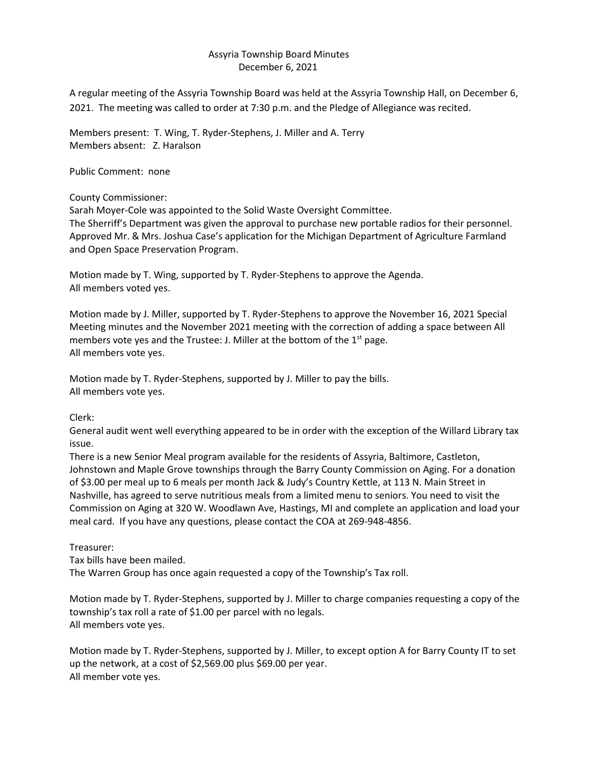## Assyria Township Board Minutes December 6, 2021

A regular meeting of the Assyria Township Board was held at the Assyria Township Hall, on December 6, 2021. The meeting was called to order at 7:30 p.m. and the Pledge of Allegiance was recited.

Members present: T. Wing, T. Ryder-Stephens, J. Miller and A. Terry Members absent: Z. Haralson

Public Comment: none

County Commissioner:

Sarah Moyer-Cole was appointed to the Solid Waste Oversight Committee.

The Sherriff's Department was given the approval to purchase new portable radios for their personnel. Approved Mr. & Mrs. Joshua Case's application for the Michigan Department of Agriculture Farmland and Open Space Preservation Program.

Motion made by T. Wing, supported by T. Ryder-Stephens to approve the Agenda. All members voted yes.

Motion made by J. Miller, supported by T. Ryder-Stephens to approve the November 16, 2021 Special Meeting minutes and the November 2021 meeting with the correction of adding a space between All members vote yes and the Trustee: J. Miller at the bottom of the 1<sup>st</sup> page. All members vote yes.

Motion made by T. Ryder-Stephens, supported by J. Miller to pay the bills. All members vote yes.

Clerk:

General audit went well everything appeared to be in order with the exception of the Willard Library tax issue.

There is a new Senior Meal program available for the residents of Assyria, Baltimore, Castleton, Johnstown and Maple Grove townships through the Barry County Commission on Aging. For a donation of \$3.00 per meal up to 6 meals per month Jack & Judy's Country Kettle, at 113 N. Main Street in Nashville, has agreed to serve nutritious meals from a limited menu to seniors. You need to visit the Commission on Aging at 320 W. Woodlawn Ave, Hastings, MI and complete an application and load your meal card. If you have any questions, please contact the COA at 269-948-4856.

Treasurer:

Tax bills have been mailed.

The Warren Group has once again requested a copy of the Township's Tax roll.

Motion made by T. Ryder-Stephens, supported by J. Miller to charge companies requesting a copy of the township's tax roll a rate of \$1.00 per parcel with no legals. All members vote yes.

Motion made by T. Ryder-Stephens, supported by J. Miller, to except option A for Barry County IT to set up the network, at a cost of \$2,569.00 plus \$69.00 per year. All member vote yes.